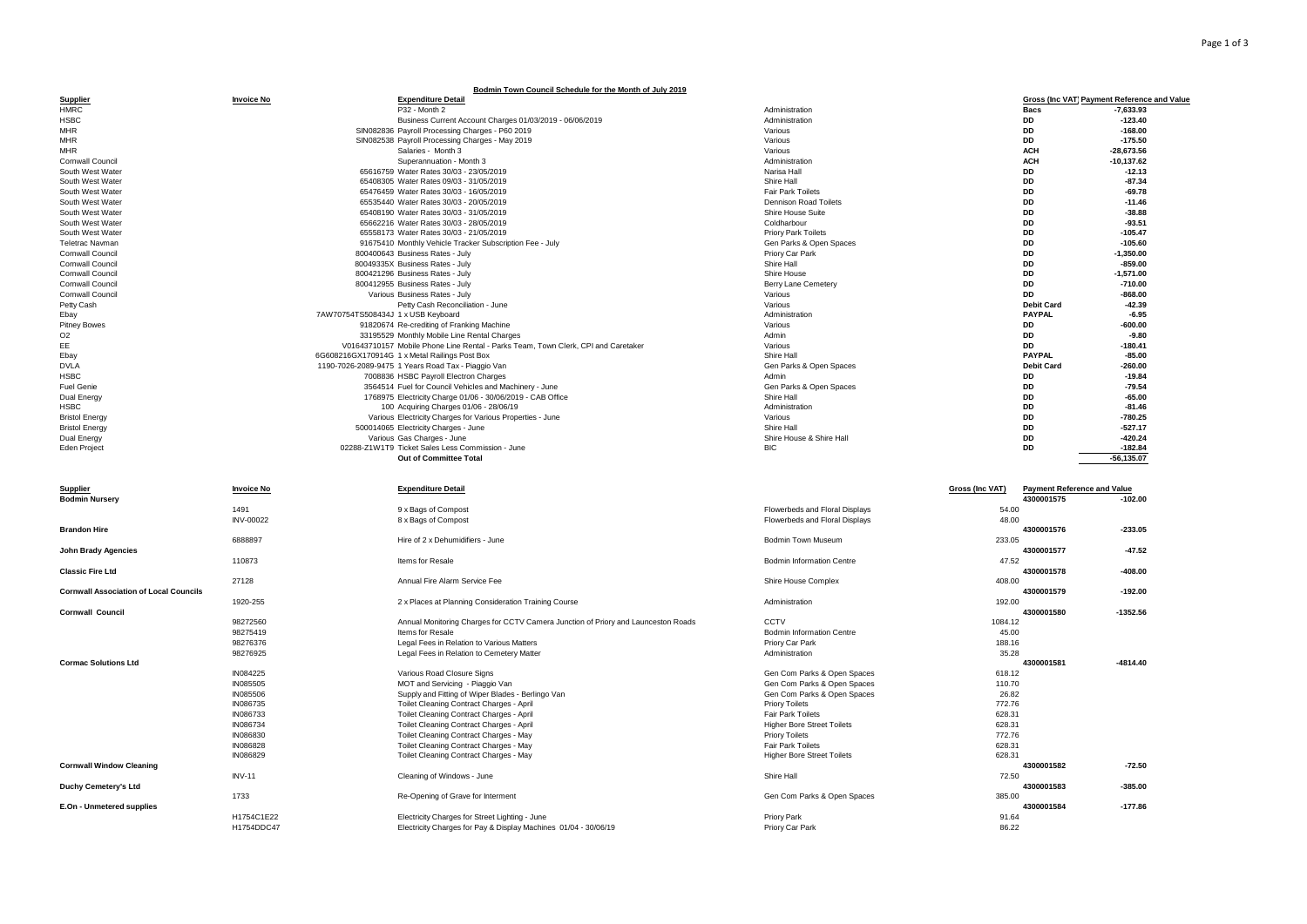|                                               |                          | Bodmin Town Council Schedule for the Month of July 2019                                                           |                                        |                     |                                                    |
|-----------------------------------------------|--------------------------|-------------------------------------------------------------------------------------------------------------------|----------------------------------------|---------------------|----------------------------------------------------|
| <b>Supplier</b>                               | <b>Invoice No</b>        | <b>Expenditure Detail</b>                                                                                         |                                        |                     | <b>Gross (Inc VAT) Payment Reference and Value</b> |
| <b>HMRC</b>                                   |                          | P32 - Month 2                                                                                                     | Administration                         | <b>Bacs</b>         | $-7,633.93$                                        |
| <b>HSBC</b>                                   |                          | Business Current Account Charges 01/03/2019 - 06/06/2019                                                          | Administration                         | <b>DD</b>           | $-123.40$                                          |
| <b>MHR</b>                                    |                          | SIN082836 Payroll Processing Charges - P60 2019                                                                   | Various                                | <b>DD</b>           | $-168.00$                                          |
| <b>MHR</b>                                    |                          | SIN082538 Payroll Processing Charges - May 2019                                                                   | Various                                | <b>DD</b>           | $-175.50$                                          |
| <b>MHR</b>                                    |                          | Salaries - Month 3                                                                                                | Various                                | <b>ACH</b>          | $-28,673.56$                                       |
| Cornwall Council                              |                          | Superannuation - Month 3                                                                                          | Administration                         | <b>ACH</b>          | $-10, 137.62$                                      |
| South West Water                              |                          | 65616759 Water Rates 30/03 - 23/05/2019                                                                           | Narisa Hall                            | DD                  | $-12.13$                                           |
| South West Water                              |                          | 65408305 Water Rates 09/03 - 31/05/2019                                                                           | Shire Hall                             | DD                  | $-87.34$                                           |
| South West Water                              |                          | 65476459 Water Rates 30/03 - 16/05/2019                                                                           | Fair Park Toilets                      | DD                  | $-69.78$                                           |
| South West Water                              |                          | 65535440 Water Rates 30/03 - 20/05/2019                                                                           | Dennison Road Toilets                  | DD                  | $-11.46$                                           |
| South West Water                              |                          | 65408190 Water Rates 30/03 - 31/05/2019                                                                           | Shire House Suite                      | DD                  | $-38.88$                                           |
| South West Water                              |                          | 65662216 Water Rates 30/03 - 28/05/2019                                                                           | Coldharbour                            | DD                  | $-93.51$                                           |
| South West Water                              |                          | 65558173 Water Rates 30/03 - 21/05/2019                                                                           | <b>Priory Park Toilets</b>             | DD                  | $-105.47$                                          |
| Teletrac Navman                               |                          | 91675410 Monthly Vehicle Tracker Subscription Fee - July                                                          | Gen Parks & Open Spaces                | DD                  | $-105.60$                                          |
| Cornwall Council                              |                          | 800400643 Business Rates - July                                                                                   | Priory Car Park                        | DD                  | $-1,350.00$                                        |
| Cornwall Council                              |                          | 80049335X Business Rates - July                                                                                   | Shire Hall                             | <b>DD</b>           | $-859.00$                                          |
| Cornwall Council                              |                          | 800421296 Business Rates - July                                                                                   | Shire House                            | DD                  | $-1,571.00$                                        |
| Cornwall Council                              |                          |                                                                                                                   |                                        | DD                  | $-710.00$                                          |
|                                               |                          | 800412955 Business Rates - July                                                                                   | <b>Berry Lane Cemetery</b>             |                     |                                                    |
| Cornwall Council                              |                          | Various Business Rates - July                                                                                     | Various                                | DD                  | $-868.00$                                          |
| Petty Cash                                    |                          | Petty Cash Reconciliation - June                                                                                  | Various                                | <b>Debit Card</b>   | $-42.39$                                           |
| Ebay                                          |                          | 7AW70754TS508434J 1 x USB Keyboard                                                                                | Administration                         | <b>PAYPAL</b>       | $-6.95$                                            |
| <b>Pitney Bowes</b>                           |                          | 91820674 Re-crediting of Franking Machine                                                                         | Various                                | DD                  | $-600.00$                                          |
| O <sub>2</sub>                                |                          | 33195529 Monthly Mobile Line Rental Charges                                                                       | Admin                                  | DD                  | $-9.80$                                            |
| EE                                            |                          | V01643710157 Mobile Phone Line Rental - Parks Team, Town Clerk, CPI and Caretaker                                 | Various                                | DD                  | $-180.41$                                          |
| Ebay                                          |                          | 6G608216GX170914G 1 x Metal Railings Post Box                                                                     | Shire Hall                             | <b>PAYPAL</b>       | $-85.00$                                           |
| <b>DVLA</b>                                   |                          | 1190-7026-2089-9475 1 Years Road Tax - Piaggio Van                                                                | Gen Parks & Open Spaces                | <b>Debit Card</b>   | $-260.00$                                          |
| <b>HSBC</b>                                   |                          | 7008836 HSBC Payroll Electron Charges                                                                             | Admin                                  | <b>DD</b>           | $-19.84$                                           |
| Fuel Genie                                    |                          | 3564514 Fuel for Council Vehicles and Machinery - June                                                            | Gen Parks & Open Spaces                | <b>DD</b>           | $-79.54$                                           |
| Dual Energy                                   |                          | 1768975 Electricity Charge 01/06 - 30/06/2019 - CAB Office                                                        | Shire Hall                             | <b>DD</b>           | $-65.00$                                           |
| <b>HSBC</b>                                   |                          | 100 Acquiring Charges 01/06 - 28/06/19                                                                            | Administration                         | DD                  | $-81.46$                                           |
| <b>Bristol Energy</b>                         |                          | Various Electricity Charges for Various Properties - June                                                         | Various                                | nn                  | $-780.25$                                          |
| <b>Bristol Energy</b>                         |                          | 500014065 Electricity Charges - June                                                                              | Shire Hall                             | <b>DD</b>           | $-527.17$                                          |
|                                               |                          |                                                                                                                   |                                        | DD                  | $-420.24$                                          |
| Dual Energy                                   |                          | Various Gas Charges - June                                                                                        | Shire House & Shire Hall<br><b>BIC</b> | DD                  | $-182.84$                                          |
| Eden Project                                  |                          | 02288-Z1W1T9 Ticket Sales Less Commission - June                                                                  |                                        |                     |                                                    |
|                                               |                          |                                                                                                                   |                                        |                     |                                                    |
|                                               |                          | Out of Committee Total                                                                                            |                                        |                     | $-56, 135.07$                                      |
| <b>Supplier</b>                               | <b>Invoice No</b>        | <b>Expenditure Detail</b>                                                                                         |                                        | Gross (Inc VAT)     | <b>Payment Reference and Value</b>                 |
| <b>Bodmin Nursery</b>                         |                          |                                                                                                                   |                                        | 4300001575          | $-102.00$                                          |
|                                               | 1491                     | 9 x Bags of Compost                                                                                               | Flowerbeds and Floral Displays         | 54.00               |                                                    |
|                                               | INV-00022                |                                                                                                                   |                                        |                     |                                                    |
| <b>Brandon Hire</b>                           |                          | 8 x Bags of Compost                                                                                               | Flowerbeds and Floral Displays         | 48.00<br>4300001576 | $-233.05$                                          |
|                                               |                          |                                                                                                                   | <b>Bodmin Town Museum</b>              |                     |                                                    |
|                                               | 6888897                  | Hire of 2 x Dehumidifiers - June                                                                                  |                                        | 233.05              |                                                    |
| <b>John Brady Agencies</b>                    |                          |                                                                                                                   |                                        | 4300001577          | $-47.52$                                           |
|                                               | 110873                   | Items for Resale                                                                                                  | <b>Bodmin Information Centre</b>       | 47.52               |                                                    |
| <b>Classic Fire Ltd</b>                       |                          |                                                                                                                   |                                        | 4300001578          | -408.00                                            |
|                                               | 27128                    | Annual Fire Alarm Service Fee                                                                                     | Shire House Complex                    | 408.00              |                                                    |
| <b>Cornwall Association of Local Councils</b> |                          |                                                                                                                   |                                        | 4300001579          | $-192.00$                                          |
|                                               | 1920-255                 | 2 x Places at Planning Consideration Training Course                                                              | Administration                         | 192.00              |                                                    |
| <b>Cornwall Council</b>                       |                          |                                                                                                                   |                                        | 4300001580          | $-1352.56$                                         |
|                                               | 98272560                 | Annual Monitoring Charges for CCTV Camera Junction of Priory and Launceston Roads                                 | CCTV                                   | 1084.12             |                                                    |
|                                               | 98275419                 | Items for Resale                                                                                                  | Bodmin Information Centre              | 45.00               |                                                    |
|                                               | 98276376                 | Legal Fees in Relation to Various Matters                                                                         | Priory Car Park                        | 188.16              |                                                    |
|                                               | 98276925                 | Legal Fees in Relation to Cemetery Matter                                                                         | Administration                         | 35.28               |                                                    |
| <b>Cormac Solutions Ltd</b>                   |                          |                                                                                                                   |                                        | 4300001581          | $-4814.40$                                         |
|                                               | IN084225                 |                                                                                                                   |                                        |                     |                                                    |
|                                               | <b>IN085505</b>          | Various Road Closure Signs                                                                                        | Gen Com Parks & Open Spaces            | 618.12              |                                                    |
|                                               |                          | MOT and Servicing - Piaggio Van                                                                                   | Gen Com Parks & Open Spaces            | 110.70              |                                                    |
|                                               | <b>IN085506</b>          | Supply and Fitting of Wiper Blades - Berlingo Van                                                                 | Gen Com Parks & Open Spaces            | 26.82               |                                                    |
|                                               | IN086735                 | Toilet Cleaning Contract Charges - April                                                                          | Priory Toilets                         | 772.76              |                                                    |
|                                               | IN086733                 | Toilet Cleaning Contract Charges - April                                                                          | <b>Fair Park Toilets</b>               | 628.31              |                                                    |
|                                               | IN086734                 | Toilet Cleaning Contract Charges - April                                                                          | <b>Higher Bore Street Toilets</b>      | 628.31              |                                                    |
|                                               | IN086830                 | Toilet Cleaning Contract Charges - May                                                                            | Priory Toilets                         | 772.76              |                                                    |
|                                               | <b>IN086828</b>          | Toilet Cleaning Contract Charges - May                                                                            | <b>Fair Park Toilets</b>               | 628.31              |                                                    |
|                                               | IN086829                 | Toilet Cleaning Contract Charges - May                                                                            | <b>Higher Bore Street Toilets</b>      | 628.31              |                                                    |
| <b>Cornwall Window Cleaning</b>               |                          |                                                                                                                   |                                        | 4300001582          | $-72.50$                                           |
|                                               | <b>INV-11</b>            | Cleaning of Windows - June                                                                                        | Shire Hall                             | 72.50               |                                                    |
| Duchy Cemetery's Ltd                          |                          |                                                                                                                   |                                        | 4300001583          | $-385.00$                                          |
|                                               | 1733                     | Re-Opening of Grave for Interment                                                                                 | Gen Com Parks & Open Spaces            | 385.00              |                                                    |
| E.On - Unmetered supplies                     |                          |                                                                                                                   |                                        | 4300001584          | $-177.86$                                          |
|                                               | H1754C1E22<br>H1754DDC47 | Electricity Charges for Street Lighting - June<br>Electricity Charges for Pay & Display Machines 01/04 - 30/06/19 | Priory Park<br>Priory Car Park         | 91.64<br>86.22      |                                                    |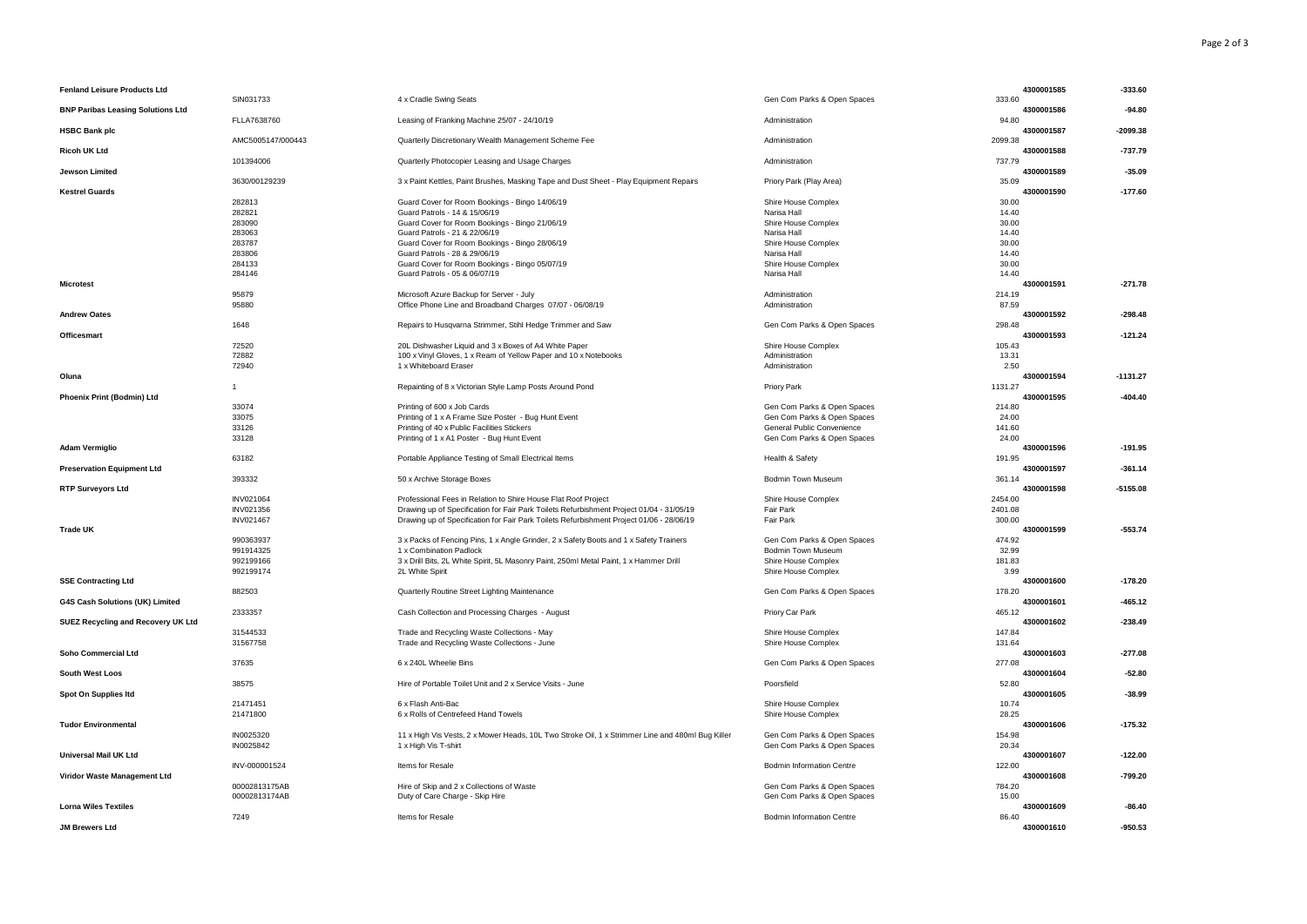| <b>Fenland Leisure Products Ltd</b>       |                   |                                                                                                  |                             | 4300001585<br>333.60 | $-333.60$  |
|-------------------------------------------|-------------------|--------------------------------------------------------------------------------------------------|-----------------------------|----------------------|------------|
| <b>BNP Paribas Leasing Solutions Ltd</b>  | SIN031733         | 4 x Cradle Swing Seats                                                                           | Gen Com Parks & Open Spaces | 4300001586           | $-94.80$   |
| <b>HSBC Bank plc</b>                      | FLLA7638760       | Leasing of Franking Machine 25/07 - 24/10/19                                                     | Administration              | 94.80<br>4300001587  | $-2099.38$ |
|                                           | AMC5005147/000443 | Quarterly Discretionary Wealth Management Scheme Fee                                             | Administration              | 2099.38              |            |
| Ricoh UK Ltd                              | 101394006         | Quarterly Photocopier Leasing and Usage Charges                                                  | Administration              | 4300001588<br>737.79 | $-737.79$  |
| Jewson Limited                            |                   |                                                                                                  |                             | 4300001589           | $-35.09$   |
| <b>Kestrel Guards</b>                     | 3630/00129239     | 3 x Paint Kettles, Paint Brushes, Masking Tape and Dust Sheet - Play Equipment Repairs           | Priory Park (Play Area)     | 35.09<br>4300001590  | $-177.60$  |
|                                           | 282813            | Guard Cover for Room Bookings - Bingo 14/06/19                                                   | Shire House Complex         | 30.00                |            |
|                                           | 282821            | Guard Patrols - 14 & 15/06/19                                                                    | Narisa Hall                 | 14.40                |            |
|                                           | 283090            | Guard Cover for Room Bookings - Bingo 21/06/19                                                   | Shire House Complex         | 30.00                |            |
|                                           | 283063            | Guard Patrols - 21 & 22/06/19                                                                    | Narisa Hall                 | 14.40                |            |
|                                           | 283787            | Guard Cover for Room Bookings - Bingo 28/06/19                                                   | Shire House Complex         | 30.00                |            |
|                                           | 283806            | Guard Patrols - 28 & 29/06/19                                                                    | Narisa Hall                 | 14.40                |            |
|                                           | 284133            | Guard Cover for Room Bookings - Bingo 05/07/19                                                   | Shire House Complex         | 30.00                |            |
|                                           | 284146            | Guard Patrols - 05 & 06/07/19                                                                    | Narisa Hall                 | 14.40                |            |
| <b>Microtest</b>                          |                   |                                                                                                  |                             | 4300001591           | $-271.78$  |
|                                           | 95879             | Microsoft Azure Backup for Server - July                                                         | Administration              | 214.19               |            |
|                                           | 95880             | Office Phone Line and Broadband Charges 07/07 - 06/08/19                                         | Administration              | 87.59                |            |
| <b>Andrew Oates</b>                       |                   |                                                                                                  |                             | 4300001592           | $-298.48$  |
|                                           | 1648              | Repairs to Husqvarna Strimmer, Stihl Hedge Trimmer and Saw                                       | Gen Com Parks & Open Spaces | 298.48               |            |
| Officesmart                               |                   |                                                                                                  |                             | 4300001593           | $-121.24$  |
|                                           | 72520             | 20L Dishwasher Liquid and 3 x Boxes of A4 White Paper                                            | Shire House Complex         | 105.43               |            |
|                                           | 72882             | 100 x Vinyl Gloves, 1 x Ream of Yellow Paper and 10 x Notebooks                                  | Administration              | 13.31                |            |
|                                           | 72940             | 1 x Whiteboard Eraser                                                                            | Administration              | 2.50                 |            |
| Oluna                                     |                   |                                                                                                  |                             | 4300001594           | $-1131.27$ |
|                                           | $\overline{1}$    | Repainting of 8 x Victorian Style Lamp Posts Around Pond                                         | Priory Park                 | 1131.27              |            |
| Phoenix Print (Bodmin) Ltd                |                   |                                                                                                  |                             | 4300001595           | $-404.40$  |
|                                           | 33074             | Printing of 600 x Job Cards                                                                      | Gen Com Parks & Open Spaces | 214.80               |            |
|                                           | 33075             | Printing of 1 x A Frame Size Poster - Bug Hunt Event                                             | Gen Com Parks & Open Spaces | 24.00                |            |
|                                           | 33126             | Printing of 40 x Public Facilities Stickers                                                      | General Public Convenience  | 141.60               |            |
|                                           | 33128             | Printing of 1 x A1 Poster - Bug Hunt Event                                                       | Gen Com Parks & Open Spaces | 24.00                |            |
| <b>Adam Vermiglio</b>                     |                   |                                                                                                  |                             | 4300001596           | $-191.95$  |
|                                           | 63182             | Portable Appliance Testing of Small Electrical Items                                             | Health & Safety             | 191.95               |            |
| <b>Preservation Equipment Ltd</b>         |                   |                                                                                                  |                             | 4300001597           | $-361.14$  |
|                                           | 393332            | 50 x Archive Storage Boxes                                                                       | Bodmin Town Museum          | 361.14               |            |
| <b>RTP Surveyors Ltd</b>                  |                   |                                                                                                  |                             | 4300001598           | $-5155.08$ |
|                                           | INV021064         | Professional Fees in Relation to Shire House Flat Roof Project                                   | Shire House Complex         | 2454.00              |            |
|                                           | INV021356         | Drawing up of Specification for Fair Park Toilets Refurbishment Project 01/04 - 31/05/19         | Fair Park                   | 2401.08              |            |
|                                           | <b>INV021467</b>  | Drawing up of Specification for Fair Park Toilets Refurbishment Project 01/06 - 28/06/19         | Fair Park                   | 300.00<br>4300001599 |            |
| <b>Trade UK</b>                           |                   |                                                                                                  |                             |                      | $-553.74$  |
|                                           | 990363937         | 3 x Packs of Fencing Pins, 1 x Angle Grinder, 2 x Safety Boots and 1 x Safety Trainers           | Gen Com Parks & Open Spaces | 474.92<br>32.99      |            |
|                                           | 991914325         | 1 x Combination Padlock                                                                          | Bodmin Town Museum          |                      |            |
|                                           | 992199166         | 3 x Drill Bits, 2L White Spirit, 5L Masonry Paint, 250ml Metal Paint, 1 x Hammer Drill           | Shire House Complex         | 181.83               |            |
|                                           | 992199174         | 2L White Spirit                                                                                  | Shire House Complex         | 3.99                 |            |
| <b>SSE Contracting Ltd</b>                |                   |                                                                                                  |                             | 4300001600           | $-178.20$  |
| G4S Cash Solutions (UK) Limited           | 882503            | Quarterly Routine Street Lighting Maintenance                                                    | Gen Com Parks & Open Spaces | 178.20<br>4300001601 | $-465.12$  |
|                                           | 2333357           | Cash Collection and Processing Charges - August                                                  | Priory Car Park             | 465.12               |            |
| <b>SUEZ Recycling and Recovery UK Ltd</b> |                   |                                                                                                  |                             | 4300001602           | $-238.49$  |
|                                           | 31544533          | Trade and Recycling Waste Collections - May                                                      | Shire House Complex         | 147.84               |            |
|                                           | 31567758          | Trade and Recycling Waste Collections - June                                                     | Shire House Complex         | 131.64               |            |
|                                           |                   |                                                                                                  |                             |                      |            |
| Soho Commercial Ltd                       | 37635             | 6 x 240L Wheelie Bins                                                                            | Gen Com Parks & Open Spaces | 4300001603<br>277.08 | $-277.08$  |
|                                           |                   |                                                                                                  |                             | 4300001604           |            |
| <b>South West Loos</b>                    | 38575             | Hire of Portable Toilet Unit and 2 x Service Visits - June                                       | Poorsfield                  | 52.80                | $-52.80$   |
| Spot On Supplies Itd                      |                   |                                                                                                  |                             | 4300001605           | $-38.99$   |
|                                           | 21471451          | 6 x Flash Anti-Bac                                                                               | Shire House Complex         | 10.74                |            |
|                                           | 21471800          | 6 x Rolls of Centrefeed Hand Towels                                                              | Shire House Complex         | 28.25                |            |
| <b>Tudor Environmental</b>                |                   |                                                                                                  |                             | 4300001606           | $-175.32$  |
|                                           | IN0025320         | 11 x High Vis Vests, 2 x Mower Heads, 10L Two Stroke Oil, 1 x Strimmer Line and 480ml Bug Killer | Gen Com Parks & Open Spaces | 154.98               |            |
|                                           | IN0025842         | 1 x High Vis T-shirt                                                                             | Gen Com Parks & Open Spaces | 20.34                |            |
| <b>Universal Mail UK Ltd</b>              |                   |                                                                                                  |                             | 4300001607           | $-122.00$  |
|                                           | INV-000001524     | Items for Resale                                                                                 | Bodmin Information Centre   | 122.00               |            |
| Viridor Waste Management Ltd              |                   |                                                                                                  |                             | 4300001608           | $-799.20$  |
|                                           | 00002813175AB     | Hire of Skip and 2 x Collections of Waste                                                        | Gen Com Parks & Open Spaces | 784.20               |            |
|                                           |                   |                                                                                                  |                             |                      |            |
|                                           |                   |                                                                                                  |                             | 15.00                |            |
| <b>Lorna Wiles Textiles</b>               | 00002813174AB     | Duty of Care Charge - Skip Hire                                                                  | Gen Com Parks & Open Spaces | 4300001609           | $-86.40$   |
|                                           | 7249              | Items for Resale                                                                                 | Bodmin Information Centre   | 86.40                |            |